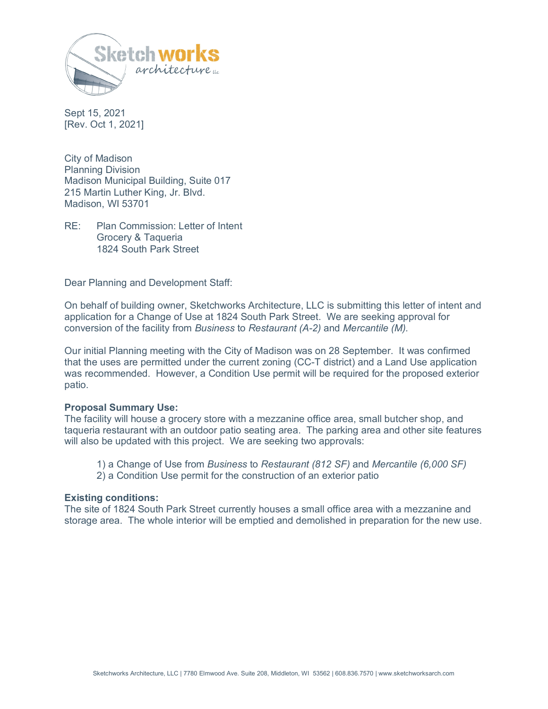

Sept 15, 2021 [Rev. Oct 1, 2021]

City of Madison Planning Division Madison Municipal Building, Suite 017 215 Martin Luther King, Jr. Blvd. Madison, WI 53701

RE: Plan Commission: Letter of Intent Grocery & Taqueria 1824 South Park Street

Dear Planning and Development Staff:

On behalf of building owner, Sketchworks Architecture, LLC is submitting this letter of intent and application for a Change of Use at 1824 South Park Street. We are seeking approval for conversion of the facility from *Business* to *Restaurant (A-2)* and *Mercantile (M).* 

Our initial Planning meeting with the City of Madison was on 28 September. It was confirmed that the uses are permitted under the current zoning (CC-T district) and a Land Use application was recommended. However, a Condition Use permit will be required for the proposed exterior patio.

#### **Proposal Summary Use:**

The facility will house a grocery store with a mezzanine office area, small butcher shop, and taqueria restaurant with an outdoor patio seating area. The parking area and other site features will also be updated with this project. We are seeking two approvals:

1) a Change of Use from *Business* to *Restaurant (812 SF)* and *Mercantile (6,000 SF)* 

2) a Condition Use permit for the construction of an exterior patio

#### **Existing conditions:**

The site of 1824 South Park Street currently houses a small office area with a mezzanine and storage area. The whole interior will be emptied and demolished in preparation for the new use.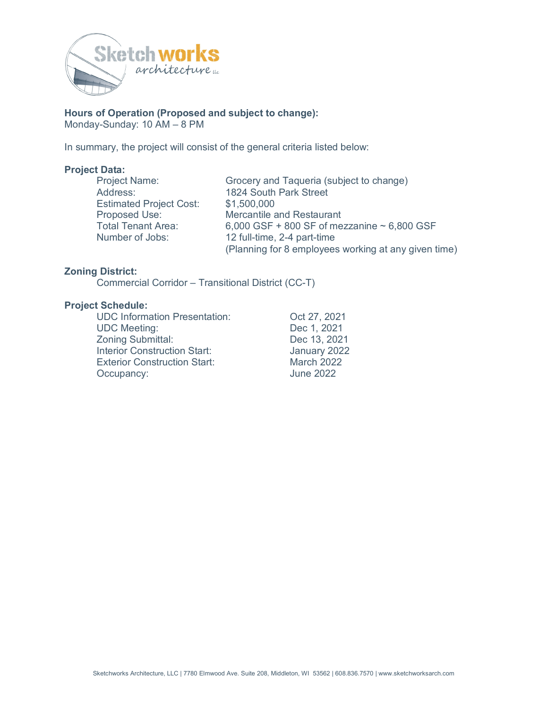

# **Hours of Operation (Proposed and subject to change):**

Monday-Sunday: 10 AM – 8 PM

In summary, the project will consist of the general criteria listed below:

#### **Project Data:**

Estimated Project Cost: \$1,500,000

Project Name: Grocery and Taqueria (subject to change) Address: 1824 South Park Street Proposed Use: Mercantile and Restaurant Total Tenant Area:  $6,000$  GSF + 800 SF of mezzanine  $\sim 6,800$  GSF<br>Number of Jobs:  $12$  full-time. 2-4 part-time 12 full-time, 2-4 part-time (Planning for 8 employees working at any given time)

### **Zoning District:**

Commercial Corridor – Transitional District (CC-T)

#### **Project Schedule:**

UDC Information Presentation: Oct 27, 2021 UDC Meeting: Dec 1, 2021 Zoning Submittal: Dec 13, 2021 Interior Construction Start: January 2022 Exterior Construction Start: March 2022 Occupancy: June 2022